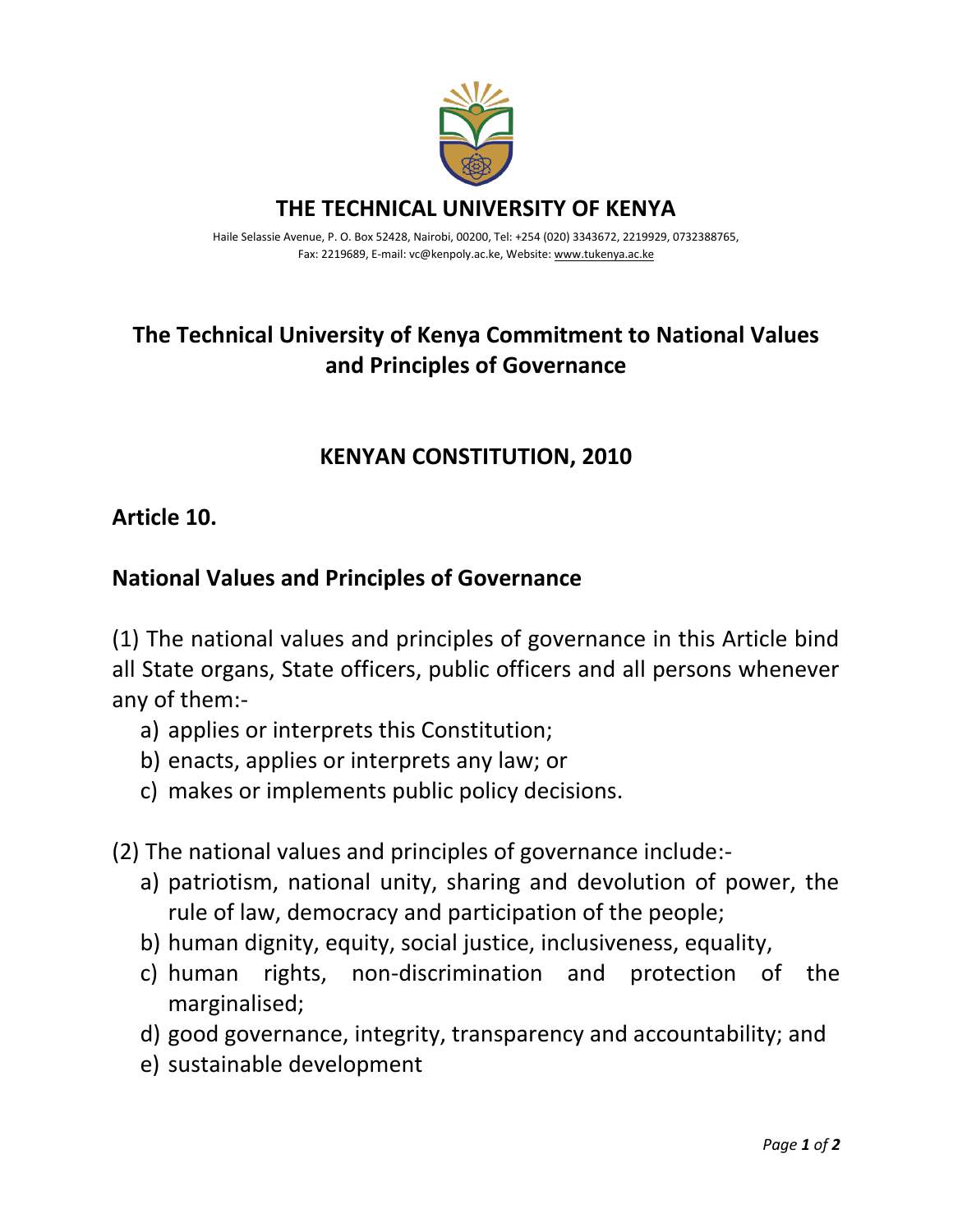

**THE TECHNICAL UNIVERSITY OF KENYA**

Haile Selassie Avenue, P. O. Box 52428, Nairobi, 00200, Tel: +254 (020) 3343672, 2219929, 0732388765, Fax: 2219689, E-mail: vc@kenpoly.ac.ke, Website[: www.tukenya.ac.ke](http://www.tukenya.ac.ke/)

# **The Technical University of Kenya Commitment to National Values and Principles of Governance**

# **KENYAN CONSTITUTION, 2010**

### **Article 10.**

## **National Values and Principles of Governance**

(1) The national values and principles of governance in this Article bind all State organs, State officers, public officers and all persons whenever any of them:-

- a) applies or interprets this Constitution;
- b) enacts, applies or interprets any law; or
- c) makes or implements public policy decisions.
- (2) The national values and principles of governance include:
	- a) patriotism, national unity, sharing and devolution of power, the rule of law, democracy and participation of the people;
	- b) human dignity, equity, social justice, inclusiveness, equality,
	- c) human rights, non-discrimination and protection of the marginalised;
	- d) good governance, integrity, transparency and accountability; and
	- e) sustainable development